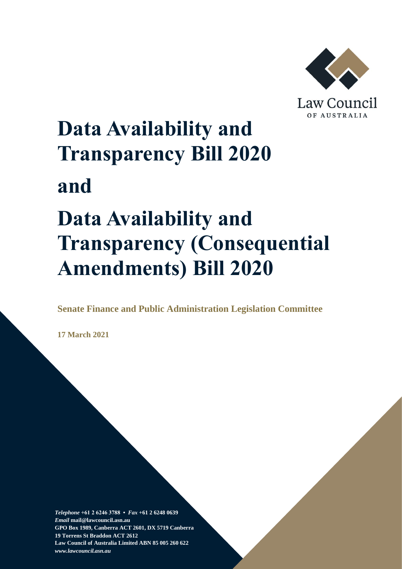

# **Data Availability and Transparency Bill 2020 and Data Availability and**

# **Transparency (Consequential Amendments) Bill 2020**

**Senate Finance and Public Administration Legislation Committee**

**17 March 2021**

*Telephone* **+61 2 6246 3788 •** *Fax* **+61 2 6248 0639**  *Email* **mail@lawcouncil.asn.au GPO Box 1989, Canberra ACT 2601, DX 5719 Canberra 19 Torrens St Braddon ACT 2612 Law Council of Australia Limited ABN 85 005 260 622** *www.lawcouncil.asn.au*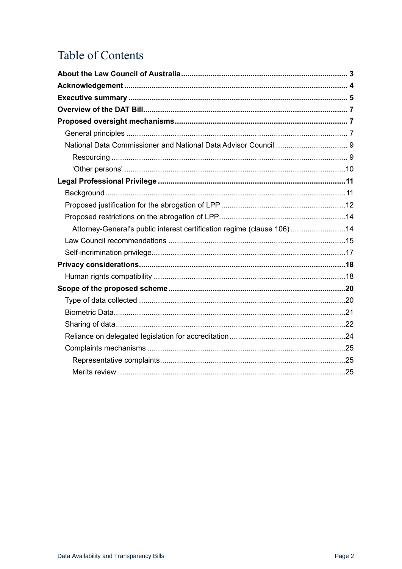# **Table of Contents**

| Attorney-General's public interest certification regime (clause 106)14 |  |
|------------------------------------------------------------------------|--|
|                                                                        |  |
|                                                                        |  |
|                                                                        |  |
|                                                                        |  |
|                                                                        |  |
|                                                                        |  |
|                                                                        |  |
|                                                                        |  |
|                                                                        |  |
|                                                                        |  |
|                                                                        |  |
|                                                                        |  |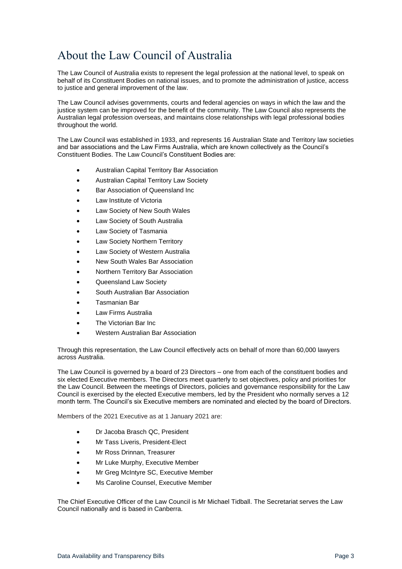# <span id="page-2-0"></span>About the Law Council of Australia

The Law Council of Australia exists to represent the legal profession at the national level, to speak on behalf of its Constituent Bodies on national issues, and to promote the administration of justice, access to justice and general improvement of the law.

The Law Council advises governments, courts and federal agencies on ways in which the law and the justice system can be improved for the benefit of the community. The Law Council also represents the Australian legal profession overseas, and maintains close relationships with legal professional bodies throughout the world.

The Law Council was established in 1933, and represents 16 Australian State and Territory law societies and bar associations and the Law Firms Australia, which are known collectively as the Council's Constituent Bodies. The Law Council's Constituent Bodies are:

- Australian Capital Territory Bar Association
- Australian Capital Territory Law Society
- Bar Association of Queensland Inc
- Law Institute of Victoria
- Law Society of New South Wales
- Law Society of South Australia
- Law Society of Tasmania
- Law Society Northern Territory
- Law Society of Western Australia
- New South Wales Bar Association
- Northern Territory Bar Association
- Queensland Law Society
- South Australian Bar Association
- Tasmanian Bar
- Law Firms Australia
- The Victorian Bar Inc
- Western Australian Bar Association

Through this representation, the Law Council effectively acts on behalf of more than 60,000 lawyers across Australia.

The Law Council is governed by a board of 23 Directors – one from each of the constituent bodies and six elected Executive members. The Directors meet quarterly to set objectives, policy and priorities for the Law Council. Between the meetings of Directors, policies and governance responsibility for the Law Council is exercised by the elected Executive members, led by the President who normally serves a 12 month term. The Council's six Executive members are nominated and elected by the board of Directors.

Members of the 2021 Executive as at 1 January 2021 are:

- Dr Jacoba Brasch QC, President
- Mr Tass Liveris, President-Elect
- Mr Ross Drinnan, Treasurer
- Mr Luke Murphy, Executive Member
- Mr Greg McIntyre SC, Executive Member
- Ms Caroline Counsel, Executive Member

The Chief Executive Officer of the Law Council is Mr Michael Tidball. The Secretariat serves the Law Council nationally and is based in Canberra.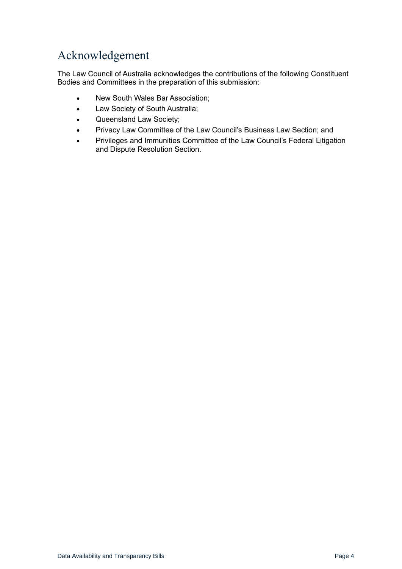# <span id="page-3-0"></span>Acknowledgement

The Law Council of Australia acknowledges the contributions of the following Constituent Bodies and Committees in the preparation of this submission:

- New South Wales Bar Association;
- Law Society of South Australia;
- Queensland Law Society;
- Privacy Law Committee of the Law Council's Business Law Section; and
- Privileges and Immunities Committee of the Law Council's Federal Litigation and Dispute Resolution Section.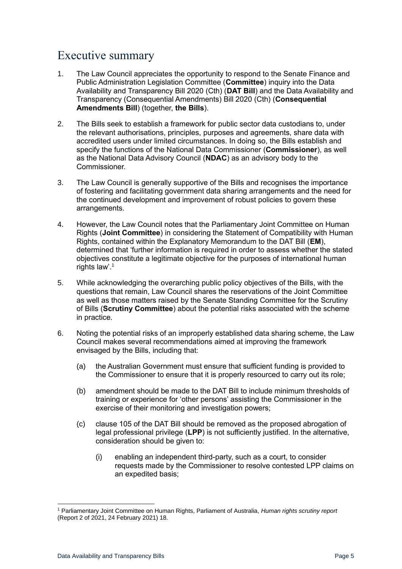# <span id="page-4-0"></span>Executive summary

- 1. The Law Council appreciates the opportunity to respond to the Senate Finance and Public Administration Legislation Committee (**Committee**) inquiry into the Data Availability and Transparency Bill 2020 (Cth) (**DAT Bill**) and the Data Availability and Transparency (Consequential Amendments) Bill 2020 (Cth) (**Consequential Amendments Bill**) (together, **the Bills**).
- 2. The Bills seek to establish a framework for public sector data custodians to, under the relevant authorisations, principles, purposes and agreements, share data with accredited users under limited circumstances. In doing so, the Bills establish and specify the functions of the National Data Commissioner (**Commissioner**), as well as the National Data Advisory Council (**NDAC**) as an advisory body to the Commissioner.
- 3. The Law Council is generally supportive of the Bills and recognises the importance of fostering and facilitating government data sharing arrangements and the need for the continued development and improvement of robust policies to govern these arrangements.
- 4. However, the Law Council notes that the Parliamentary Joint Committee on Human Rights (**Joint Committee**) in considering the Statement of Compatibility with Human Rights, contained within the Explanatory Memorandum to the DAT Bill (**EM**), determined that 'further information is required in order to assess whether the stated objectives constitute a legitimate objective for the purposes of international human rights law'.<sup>1</sup>
- 5. While acknowledging the overarching public policy objectives of the Bills, with the questions that remain, Law Council shares the reservations of the Joint Committee as well as those matters raised by the Senate Standing Committee for the Scrutiny of Bills (**Scrutiny Committee**) about the potential risks associated with the scheme in practice.
- 6. Noting the potential risks of an improperly established data sharing scheme, the Law Council makes several recommendations aimed at improving the framework envisaged by the Bills, including that:
	- (a) the Australian Government must ensure that sufficient funding is provided to the Commissioner to ensure that it is properly resourced to carry out its role;
	- (b) amendment should be made to the DAT Bill to include minimum thresholds of training or experience for 'other persons' assisting the Commissioner in the exercise of their monitoring and investigation powers;
	- (c) clause 105 of the DAT Bill should be removed as the proposed abrogation of legal professional privilege (**LPP**) is not sufficiently justified. In the alternative, consideration should be given to:
		- (i) enabling an independent third-party, such as a court, to consider requests made by the Commissioner to resolve contested LPP claims on an expedited basis;

<sup>1</sup> Parliamentary Joint Committee on Human Rights, Parliament of Australia, *Human rights scrutiny report* (Report 2 of 2021, 24 February 2021) 18.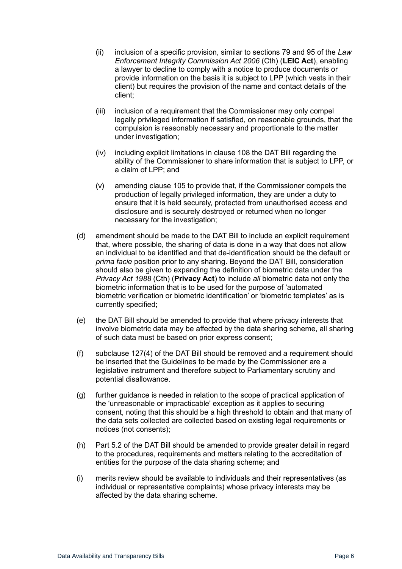- (ii) inclusion of a specific provision, similar to sections 79 and 95 of the *Law Enforcement Integrity Commission Act 2006* (Cth) (**LEIC Act**), enabling a lawyer to decline to comply with a notice to produce documents or provide information on the basis it is subject to LPP (which vests in their client) but requires the provision of the name and contact details of the client;
- (iii) inclusion of a requirement that the Commissioner may only compel legally privileged information if satisfied, on reasonable grounds, that the compulsion is reasonably necessary and proportionate to the matter under investigation;
- (iv) including explicit limitations in clause 108 the DAT Bill regarding the ability of the Commissioner to share information that is subject to LPP, or a claim of LPP; and
- (v) amending clause 105 to provide that, if the Commissioner compels the production of legally privileged information, they are under a duty to ensure that it is held securely, protected from unauthorised access and disclosure and is securely destroyed or returned when no longer necessary for the investigation;
- (d) amendment should be made to the DAT Bill to include an explicit requirement that, where possible, the sharing of data is done in a way that does not allow an individual to be identified and that de-identification should be the default or *prima facie* position prior to any sharing. Beyond the DAT Bill, consideration should also be given to expanding the definition of biometric data under the *Privacy Act 1988* (Cth) (**Privacy Act**) to include *all* biometric data not only the biometric information that is to be used for the purpose of 'automated biometric verification or biometric identification' or 'biometric templates' as is currently specified;
- (e) the DAT Bill should be amended to provide that where privacy interests that involve biometric data may be affected by the data sharing scheme, all sharing of such data must be based on prior express consent;
- (f) subclause 127(4) of the DAT Bill should be removed and a requirement should be inserted that the Guidelines to be made by the Commissioner are a legislative instrument and therefore subject to Parliamentary scrutiny and potential disallowance.
- (g) further guidance is needed in relation to the scope of practical application of the 'unreasonable or impracticable' exception as it applies to securing consent, noting that this should be a high threshold to obtain and that many of the data sets collected are collected based on existing legal requirements or notices (not consents);
- (h) Part 5.2 of the DAT Bill should be amended to provide greater detail in regard to the procedures, requirements and matters relating to the accreditation of entities for the purpose of the data sharing scheme; and
- (i) merits review should be available to individuals and their representatives (as individual or representative complaints) whose privacy interests may be affected by the data sharing scheme.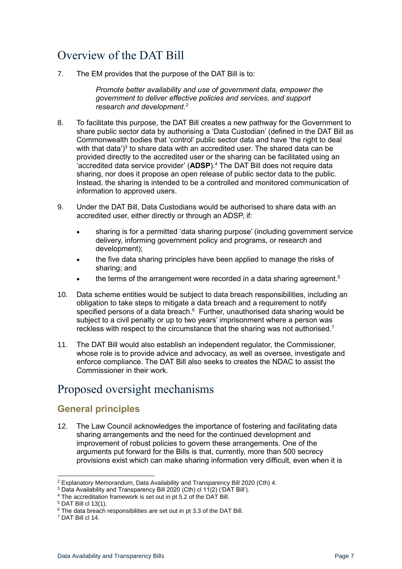# <span id="page-6-0"></span>Overview of the DAT Bill

7. The EM provides that the purpose of the DAT Bill is to:

*Promote better availability and use of government data, empower the government to deliver effective policies and services, and support research and development.*<sup>2</sup>

- 8. To facilitate this purpose, the DAT Bill creates a new pathway for the Government to share public sector data by authorising a 'Data Custodian' (defined in the DAT Bill as Commonwealth bodies that 'control' public sector data and have 'the right to deal with that data')<sup>3</sup> to share data with an accredited user. The shared data can be provided directly to the accredited user or the sharing can be facilitated using an 'accredited data service provider' (**ADSP**). <sup>4</sup> The DAT Bill does not require data sharing, nor does it propose an open release of public sector data to the public. Instead, the sharing is intended to be a controlled and monitored communication of information to approved users.
- 9. Under the DAT Bill, Data Custodians would be authorised to share data with an accredited user, either directly or through an ADSP, if:
	- sharing is for a permitted 'data sharing purpose' (including government service delivery, informing government policy and programs, or research and development);
	- the five data sharing principles have been applied to manage the risks of sharing; and
	- the terms of the arrangement were recorded in a data sharing agreement.<sup>5</sup>
- 10. Data scheme entities would be subject to data breach responsibilities, including an obligation to take steps to mitigate a data breach and a requirement to notify specified persons of a data breach.<sup>6</sup> Further, unauthorised data sharing would be subject to a civil penalty or up to two years' imprisonment where a person was reckless with respect to the circumstance that the sharing was not authorised.<sup>7</sup>
- 11. The DAT Bill would also establish an independent regulator, the Commissioner, whose role is to provide advice and advocacy, as well as oversee, investigate and enforce compliance. The DAT Bill also seeks to creates the NDAC to assist the Commissioner in their work.

# <span id="page-6-1"></span>Proposed oversight mechanisms

## <span id="page-6-2"></span>**General principles**

12. The Law Council acknowledges the importance of fostering and facilitating data sharing arrangements and the need for the continued development and improvement of robust policies to govern these arrangements. One of the arguments put forward for the Bills is that, currently, more than 500 secrecy provisions exist which can make sharing information very difficult, even when it is

<sup>2</sup> Explanatory Memorandum, Data Availability and Transparency Bill 2020 (Cth) 4.

<sup>3</sup> Data Availability and Transparency Bill 2020 (Cth) cl 11(2) ('DAT Bill').

<sup>4</sup> The accreditation framework is set out in pt 5.2 of the DAT Bill.

<sup>5</sup> DAT Bill cl 13(1).

<sup>&</sup>lt;sup>6</sup> The data breach responsibilities are set out in pt 3.3 of the DAT Bill.

<sup>7</sup> DAT Bill cl 14.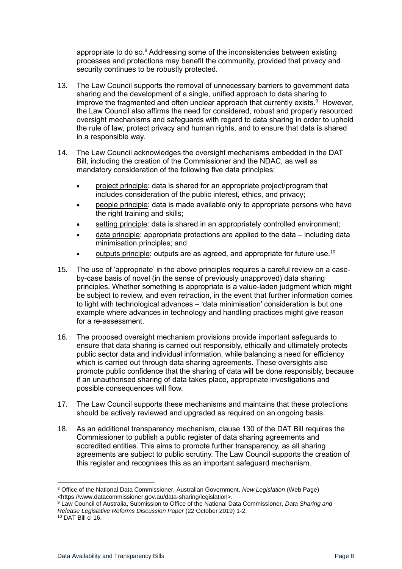appropriate to do so. $8$  Addressing some of the inconsistencies between existing processes and protections may benefit the community, provided that privacy and security continues to be robustly protected.

- 13. The Law Council supports the removal of unnecessary barriers to government data sharing and the development of a single, unified approach to data sharing to improve the fragmented and often unclear approach that currently exists. $9$  However, the Law Council also affirms the need for considered, robust and properly resourced oversight mechanisms and safeguards with regard to data sharing in order to uphold the rule of law, protect privacy and human rights, and to ensure that data is shared in a responsible way.
- 14. The Law Council acknowledges the oversight mechanisms embedded in the DAT Bill, including the creation of the Commissioner and the NDAC, as well as mandatory consideration of the following five data principles:
	- project principle: data is shared for an appropriate project/program that includes consideration of the public interest, ethics, and privacy;
	- people principle: data is made available only to appropriate persons who have the right training and skills:
	- setting principle: data is shared in an appropriately controlled environment;
	- data principle: appropriate protections are applied to the data including data minimisation principles; and
	- outputs principle: outputs are as agreed, and appropriate for future use.<sup>10</sup>
- 15. The use of 'appropriate' in the above principles requires a careful review on a caseby-case basis of novel (in the sense of previously unapproved) data sharing principles. Whether something is appropriate is a value-laden judgment which might be subject to review, and even retraction, in the event that further information comes to light with technological advances – 'data minimisation' consideration is but one example where advances in technology and handling practices might give reason for a re-assessment.
- 16. The proposed oversight mechanism provisions provide important safeguards to ensure that data sharing is carried out responsibly, ethically and ultimately protects public sector data and individual information, while balancing a need for efficiency which is carried out through data sharing agreements. These oversights also promote public confidence that the sharing of data will be done responsibly, because if an unauthorised sharing of data takes place, appropriate investigations and possible consequences will flow.
- 17. The Law Council supports these mechanisms and maintains that these protections should be actively reviewed and upgraded as required on an ongoing basis.
- 18. As an additional transparency mechanism, clause 130 of the DAT Bill requires the Commissioner to publish a public register of data sharing agreements and accredited entities. This aims to promote further transparency, as all sharing agreements are subject to public scrutiny. The Law Council supports the creation of this register and recognises this as an important safeguard mechanism.

<sup>8</sup> Office of the National Data Commissioner, Australian Government, *New Legislation* (Web Page) <https://www.datacommissioner.gov.au/data-sharing/legislation>.

<sup>9</sup> Law Council of Australia, Submission to Office of the National Data Commissioner, *Data Sharing and Release Legislative Reforms Discussion Paper* (22 October 2019) 1-2.

<sup>10</sup> DAT Bill cl 16.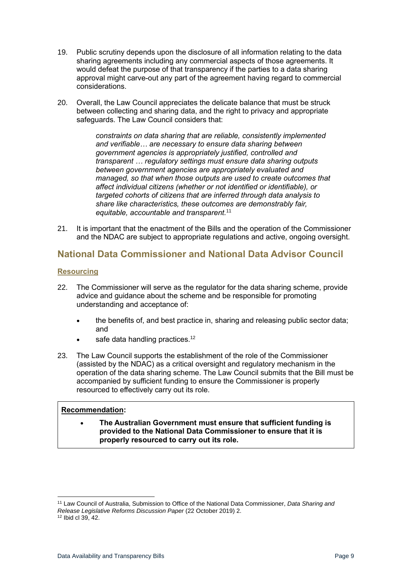- 19. Public scrutiny depends upon the disclosure of all information relating to the data sharing agreements including any commercial aspects of those agreements. It would defeat the purpose of that transparency if the parties to a data sharing approval might carve-out any part of the agreement having regard to commercial considerations.
- 20. Overall, the Law Council appreciates the delicate balance that must be struck between collecting and sharing data, and the right to privacy and appropriate safeguards. The Law Council considers that:

*constraints on data sharing that are reliable, consistently implemented and verifiable… are necessary to ensure data sharing between government agencies is appropriately justified, controlled and transparent … regulatory settings must ensure data sharing outputs between government agencies are appropriately evaluated and managed, so that when those outputs are used to create outcomes that affect individual citizens (whether or not identified or identifiable), or targeted cohorts of citizens that are inferred through data analysis to share like characteristics, these outcomes are demonstrably fair, equitable, accountable and transparent.*<sup>11</sup>

21. It is important that the enactment of the Bills and the operation of the Commissioner and the NDAC are subject to appropriate regulations and active, ongoing oversight.

## <span id="page-8-0"></span>**National Data Commissioner and National Data Advisor Council**

#### <span id="page-8-1"></span>**Resourcing**

- 22. The Commissioner will serve as the regulator for the data sharing scheme, provide advice and guidance about the scheme and be responsible for promoting understanding and acceptance of:
	- the benefits of, and best practice in, sharing and releasing public sector data; and
	- safe data handling practices.<sup>12</sup>
- 23. The Law Council supports the establishment of the role of the Commissioner (assisted by the NDAC) as a critical oversight and regulatory mechanism in the operation of the data sharing scheme. The Law Council submits that the Bill must be accompanied by sufficient funding to ensure the Commissioner is properly resourced to effectively carry out its role.

#### **Recommendation:**

• **The Australian Government must ensure that sufficient funding is provided to the National Data Commissioner to ensure that it is properly resourced to carry out its role.** 

<sup>11</sup> Law Council of Australia, Submission to Office of the National Data Commissioner, *Data Sharing and Release Legislative Reforms Discussion Paper* (22 October 2019) 2.  $12$  Ibid cl 39, 42.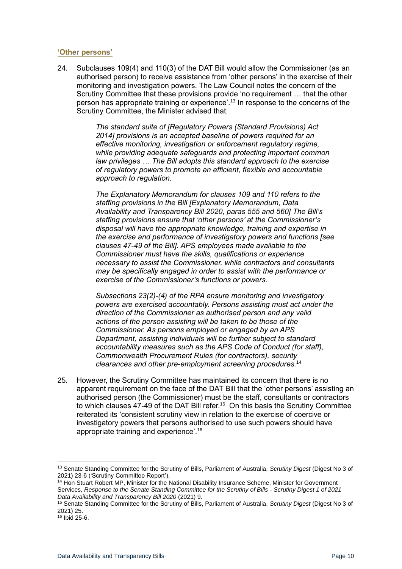#### <span id="page-9-0"></span>**'Other persons'**

24. Subclauses 109(4) and 110(3) of the DAT Bill would allow the Commissioner (as an authorised person) to receive assistance from 'other persons' in the exercise of their monitoring and investigation powers. The Law Council notes the concern of the Scrutiny Committee that these provisions provide 'no requirement … that the other person has appropriate training or experience'. <sup>13</sup> In response to the concerns of the Scrutiny Committee, the Minister advised that:

> *The standard suite of [Regulatory Powers (Standard Provisions) Act 2014] provisions is an accepted baseline of powers required for an effective monitoring, investigation or enforcement regulatory regime, while providing adequate safeguards and protecting important common law privileges … The Bill adopts this standard approach to the exercise of regulatory powers to promote an efficient, flexible and accountable approach to regulation.*

*The Explanatory Memorandum for clauses 109 and 110 refers to the staffing provisions in the Bill [Explanatory Memorandum, Data Availability and Transparency Bill 2020, paras 555 and 560] The Bill's staffing provisions ensure that 'other persons' at the Commissioner's disposal will have the appropriate knowledge, training and expertise in the exercise and performance of investigatory powers and functions [see clauses 47-49 of the Bill]. APS employees made available to the Commissioner must have the skills, qualifications or experience necessary to assist the Commissioner, while contractors and consultants may be specifically engaged in order to assist with the performance or exercise of the Commissioner's functions or powers.* 

*Subsections 23(2)-(4) of the RPA ensure monitoring and investigatory powers are exercised accountably. Persons assisting must act under the direction of the Commissioner as authorised person and any valid actions of the person assisting will be taken to be those of the Commissioner. As persons employed or engaged by an APS Department, assisting individuals will be further subject to standard accountability measures such as the APS Code of Conduct (for staff), Commonwealth Procurement Rules (for contractors), security clearances and other pre-employment screening procedures.*<sup>14</sup>

25. However, the Scrutiny Committee has maintained its concern that there is no apparent requirement on the face of the DAT Bill that the 'other persons' assisting an authorised person (the Commissioner) must be the staff, consultants or contractors to which clauses 47-49 of the DAT Bill refer.<sup>15</sup> On this basis the Scrutiny Committee reiterated its 'consistent scrutiny view in relation to the exercise of coercive or investigatory powers that persons authorised to use such powers should have appropriate training and experience'.<sup>16</sup>

<sup>13</sup> Senate Standing Committee for the Scrutiny of Bills, Parliament of Australia, *Scrutiny Digest* (Digest No 3 of 2021) 23-6 ('Scrutiny Committee Report').

<sup>14</sup> Hon Stuart Robert MP, Minister for the National Disability Insurance Scheme, Minister for Government Services, *Response to the Senate Standing Committee for the Scrutiny of Bills - Scrutiny Digest 1 of 2021 Data Availability and Transparency Bill 2020* (2021) 9.

<sup>15</sup> Senate Standing Committee for the Scrutiny of Bills, Parliament of Australia, *Scrutiny Digest* (Digest No 3 of 2021) 25.

<sup>16</sup> Ibid 25-6.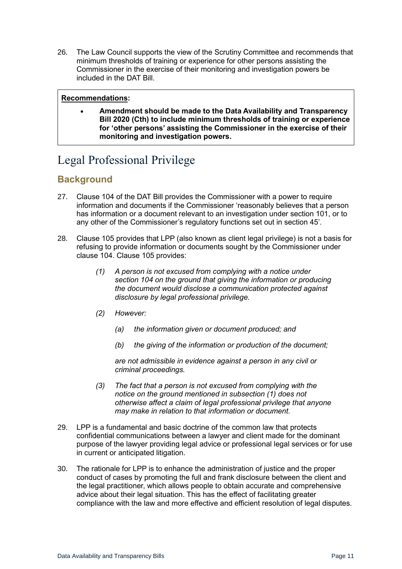26. The Law Council supports the view of the Scrutiny Committee and recommends that minimum thresholds of training or experience for other persons assisting the Commissioner in the exercise of their monitoring and investigation powers be included in the DAT Bill.

#### **Recommendations:**

• **Amendment should be made to the Data Availability and Transparency Bill 2020 (Cth) to include minimum thresholds of training or experience for 'other persons' assisting the Commissioner in the exercise of their monitoring and investigation powers.**

# <span id="page-10-0"></span>Legal Professional Privilege

## <span id="page-10-1"></span>**Background**

- 27. Clause 104 of the DAT Bill provides the Commissioner with a power to require information and documents if the Commissioner 'reasonably believes that a person has information or a document relevant to an investigation under section 101, or to any other of the Commissioner's regulatory functions set out in section 45'.
- 28. Clause 105 provides that LPP (also known as client legal privilege) is not a basis for refusing to provide information or documents sought by the Commissioner under clause 104. Clause 105 provides:
	- *(1) A person is not excused from complying with a notice under section 104 on the ground that giving the information or producing the document would disclose a communication protected against disclosure by legal professional privilege.*
	- *(2) However:* 
		- *(a) the information given or document produced; and*
		- *(b) the giving of the information or production of the document;*

*are not admissible in evidence against a person in any civil or criminal proceedings.*

- *(3) The fact that a person is not excused from complying with the notice on the ground mentioned in subsection (1) does not otherwise affect a claim of legal professional privilege that anyone may make in relation to that information or document.*
- 29. LPP is a fundamental and basic doctrine of the common law that protects confidential communications between a lawyer and client made for the dominant purpose of the lawyer providing legal advice or professional legal services or for use in current or anticipated litigation.
- 30. The rationale for LPP is to enhance the administration of justice and the proper conduct of cases by promoting the full and frank disclosure between the client and the legal practitioner, which allows people to obtain accurate and comprehensive advice about their legal situation. This has the effect of facilitating greater compliance with the law and more effective and efficient resolution of legal disputes.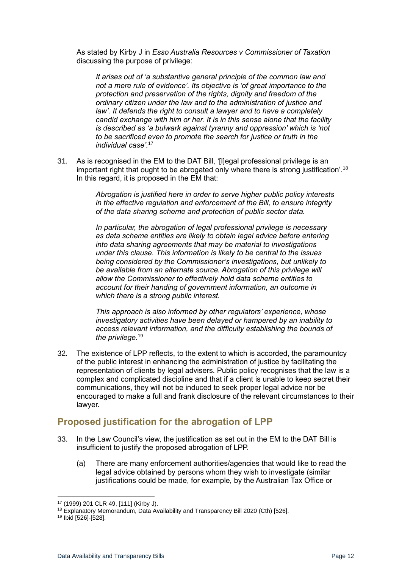As stated by Kirby J in *Esso Australia Resources v Commissioner of Taxation* discussing the purpose of privilege:

*It arises out of 'a substantive general principle of the common law and not a mere rule of evidence'. Its objective is 'of great importance to the protection and preservation of the rights, dignity and freedom of the ordinary citizen under the law and to the administration of justice and law'. It defends the right to consult a lawyer and to have a completely candid exchange with him or her. It is in this sense alone that the facility is described as 'a bulwark against tyranny and oppression' which is 'not to be sacrificed even to promote the search for justice or truth in the individual case'.*<sup>17</sup>

31. As is recognised in the EM to the DAT Bill, '[l]egal professional privilege is an important right that ought to be abrogated only where there is strong justification'.<sup>18</sup> In this regard, it is proposed in the EM that:

> *Abrogation is justified here in order to serve higher public policy interests in the effective regulation and enforcement of the Bill, to ensure integrity of the data sharing scheme and protection of public sector data.*

*In particular, the abrogation of legal professional privilege is necessary as data scheme entities are likely to obtain legal advice before entering into data sharing agreements that may be material to investigations under this clause. This information is likely to be central to the issues being considered by the Commissioner's investigations, but unlikely to be available from an alternate source. Abrogation of this privilege will allow the Commissioner to effectively hold data scheme entities to account for their handing of government information, an outcome in which there is a strong public interest.* 

*This approach is also informed by other regulators' experience, whose investigatory activities have been delayed or hampered by an inability to access relevant information, and the difficulty establishing the bounds of the privilege.*<sup>19</sup>

32. The existence of LPP reflects, to the extent to which is accorded, the paramountcy of the public interest in enhancing the administration of justice by facilitating the representation of clients by legal advisers. Public policy recognises that the law is a complex and complicated discipline and that if a client is unable to keep secret their communications, they will not be induced to seek proper legal advice nor be encouraged to make a full and frank disclosure of the relevant circumstances to their lawyer.

## <span id="page-11-0"></span>**Proposed justification for the abrogation of LPP**

- 33. In the Law Council's view, the justification as set out in the EM to the DAT Bill is insufficient to justify the proposed abrogation of LPP.
	- (a) There are many enforcement authorities/agencies that would like to read the legal advice obtained by persons whom they wish to investigate (similar justifications could be made, for example, by the Australian Tax Office or

<sup>17</sup> (1999) 201 CLR 49, [111] (Kirby J).

<sup>&</sup>lt;sup>18</sup> Explanatory Memorandum, Data Availability and Transparency Bill 2020 (Cth) [526].

<sup>19</sup> Ibid [526]-[528].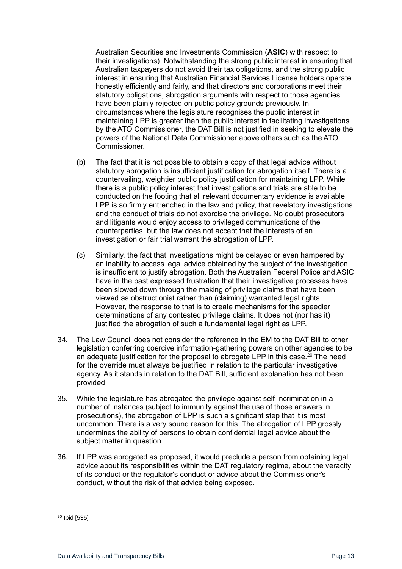Australian Securities and Investments Commission (**ASIC**) with respect to their investigations). Notwithstanding the strong public interest in ensuring that Australian taxpayers do not avoid their tax obligations, and the strong public interest in ensuring that Australian Financial Services License holders operate honestly efficiently and fairly, and that directors and corporations meet their statutory obligations, abrogation arguments with respect to those agencies have been plainly rejected on public policy grounds previously. In circumstances where the legislature recognises the public interest in maintaining LPP is greater than the public interest in facilitating investigations by the ATO Commissioner, the DAT Bill is not justified in seeking to elevate the powers of the National Data Commissioner above others such as the ATO **Commissioner** 

- (b) The fact that it is not possible to obtain a copy of that legal advice without statutory abrogation is insufficient justification for abrogation itself. There is a countervailing, weightier public policy justification for maintaining LPP. While there is a public policy interest that investigations and trials are able to be conducted on the footing that all relevant documentary evidence is available, LPP is so firmly entrenched in the law and policy, that revelatory investigations and the conduct of trials do not exorcise the privilege. No doubt prosecutors and litigants would enjoy access to privileged communications of the counterparties, but the law does not accept that the interests of an investigation or fair trial warrant the abrogation of LPP.
- (c) Similarly, the fact that investigations might be delayed or even hampered by an inability to access legal advice obtained by the subject of the investigation is insufficient to justify abrogation. Both the Australian Federal Police and ASIC have in the past expressed frustration that their investigative processes have been slowed down through the making of privilege claims that have been viewed as obstructionist rather than (claiming) warranted legal rights. However, the response to that is to create mechanisms for the speedier determinations of any contested privilege claims. It does not (nor has it) justified the abrogation of such a fundamental legal right as LPP.
- 34. The Law Council does not consider the reference in the EM to the DAT Bill to other legislation conferring coercive information-gathering powers on other agencies to be an adequate justification for the proposal to abrogate LPP in this case. $^{20}$  The need for the override must always be justified in relation to the particular investigative agency. As it stands in relation to the DAT Bill, sufficient explanation has not been provided.
- 35. While the legislature has abrogated the privilege against self-incrimination in a number of instances (subject to immunity against the use of those answers in prosecutions), the abrogation of LPP is such a significant step that it is most uncommon. There is a very sound reason for this. The abrogation of LPP grossly undermines the ability of persons to obtain confidential legal advice about the subject matter in question.
- 36. If LPP was abrogated as proposed, it would preclude a person from obtaining legal advice about its responsibilities within the DAT regulatory regime, about the veracity of its conduct or the regulator's conduct or advice about the Commissioner's conduct, without the risk of that advice being exposed.

<sup>20</sup> Ibid [535]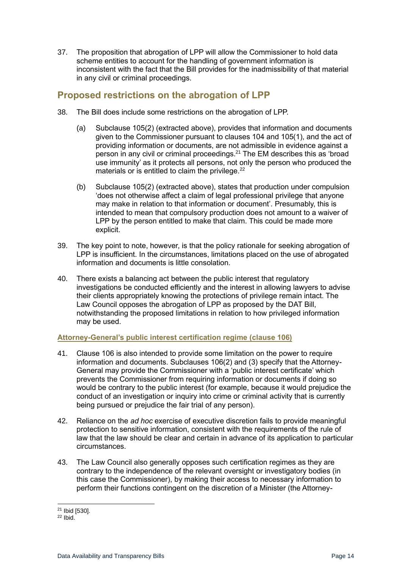37. The proposition that abrogation of LPP will allow the Commissioner to hold data scheme entities to account for the handling of government information is inconsistent with the fact that the Bill provides for the inadmissibility of that material in any civil or criminal proceedings.

### <span id="page-13-0"></span>**Proposed restrictions on the abrogation of LPP**

- 38. The Bill does include some restrictions on the abrogation of LPP.
	- (a) Subclause 105(2) (extracted above), provides that information and documents given to the Commissioner pursuant to clauses 104 and 105(1), and the act of providing information or documents, are not admissible in evidence against a person in any civil or criminal proceedings.<sup>21</sup> The EM describes this as 'broad use immunity' as it protects all persons, not only the person who produced the materials or is entitled to claim the privilege.<sup>22</sup>
	- (b) Subclause 105(2) (extracted above), states that production under compulsion 'does not otherwise affect a claim of legal professional privilege that anyone may make in relation to that information or document'. Presumably, this is intended to mean that compulsory production does not amount to a waiver of LPP by the person entitled to make that claim. This could be made more explicit.
- 39. The key point to note, however, is that the policy rationale for seeking abrogation of LPP is insufficient. In the circumstances, limitations placed on the use of abrogated information and documents is little consolation.
- 40. There exists a balancing act between the public interest that regulatory investigations be conducted efficiently and the interest in allowing lawyers to advise their clients appropriately knowing the protections of privilege remain intact. The Law Council opposes the abrogation of LPP as proposed by the DAT Bill, notwithstanding the proposed limitations in relation to how privileged information may be used.

#### <span id="page-13-1"></span>**Attorney-General's public interest certification regime (clause 106)**

- 41. Clause 106 is also intended to provide some limitation on the power to require information and documents. Subclauses 106(2) and (3) specify that the Attorney-General may provide the Commissioner with a 'public interest certificate' which prevents the Commissioner from requiring information or documents if doing so would be contrary to the public interest (for example, because it would prejudice the conduct of an investigation or inquiry into crime or criminal activity that is currently being pursued or prejudice the fair trial of any person).
- 42. Reliance on the *ad hoc* exercise of executive discretion fails to provide meaningful protection to sensitive information, consistent with the requirements of the rule of law that the law should be clear and certain in advance of its application to particular circumstances.
- 43. The Law Council also generally opposes such certification regimes as they are contrary to the independence of the relevant oversight or investigatory bodies (in this case the Commissioner), by making their access to necessary information to perform their functions contingent on the discretion of a Minister (the Attorney-

<sup>21</sup> Ibid [530].

 $22$  Ibid.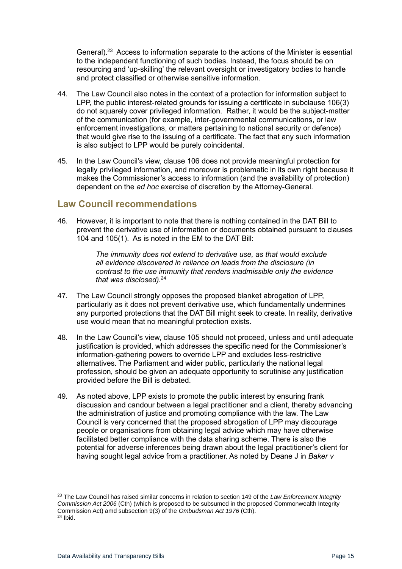General).<sup>23</sup> Access to information separate to the actions of the Minister is essential to the independent functioning of such bodies. Instead, the focus should be on resourcing and 'up-skilling' the relevant oversight or investigatory bodies to handle and protect classified or otherwise sensitive information.

- 44. The Law Council also notes in the context of a protection for information subject to LPP, the public interest-related grounds for issuing a certificate in subclause 106(3) do not squarely cover privileged information. Rather, it would be the subject-matter of the communication (for example, inter-governmental communications, or law enforcement investigations, or matters pertaining to national security or defence) that would give rise to the issuing of a certificate. The fact that any such information is also subject to LPP would be purely coincidental.
- 45. In the Law Council's view, clause 106 does not provide meaningful protection for legally privileged information, and moreover is problematic in its own right because it makes the Commissioner's access to information (and the availability of protection) dependent on the *ad hoc* exercise of discretion by the Attorney-General.

#### <span id="page-14-0"></span>**Law Council recommendations**

46. However, it is important to note that there is nothing contained in the DAT Bill to prevent the derivative use of information or documents obtained pursuant to clauses 104 and 105(1). As is noted in the EM to the DAT Bill:

> *The immunity does not extend to derivative use, as that would exclude all evidence discovered in reliance on leads from the disclosure (in contrast to the use immunity that renders inadmissible only the evidence that was disclosed).*<sup>24</sup>

- 47. The Law Council strongly opposes the proposed blanket abrogation of LPP, particularly as it does not prevent derivative use, which fundamentally undermines any purported protections that the DAT Bill might seek to create. In reality, derivative use would mean that no meaningful protection exists.
- 48. In the Law Council's view, clause 105 should not proceed, unless and until adequate justification is provided, which addresses the specific need for the Commissioner's information-gathering powers to override LPP and excludes less-restrictive alternatives. The Parliament and wider public, particularly the national legal profession, should be given an adequate opportunity to scrutinise any justification provided before the Bill is debated.
- 49. As noted above, LPP exists to promote the public interest by ensuring frank discussion and candour between a legal practitioner and a client, thereby advancing the administration of justice and promoting compliance with the law. The Law Council is very concerned that the proposed abrogation of LPP may discourage people or organisations from obtaining legal advice which may have otherwise facilitated better compliance with the data sharing scheme. There is also the potential for adverse inferences being drawn about the legal practitioner's client for having sought legal advice from a practitioner. As noted by Deane J in *Baker v*

<sup>23</sup> The Law Council has raised similar concerns in relation to section 149 of the *Law Enforcement Integrity Commission Act 2006* (Cth) (which is proposed to be subsumed in the proposed Commonwealth Integrity Commission Act) amd subsection 9(3) of the *Ombudsman Act 1976* (Cth). <sup>24</sup> Ibid.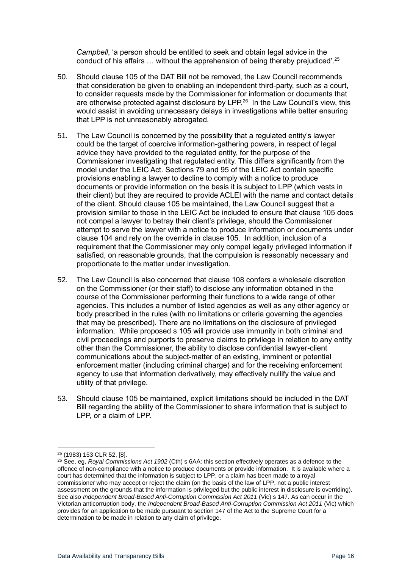*Campbell*, 'a person should be entitled to seek and obtain legal advice in the conduct of his affairs … without the apprehension of being thereby prejudiced'.<sup>25</sup>

- 50. Should clause 105 of the DAT Bill not be removed, the Law Council recommends that consideration be given to enabling an independent third-party, such as a court, to consider requests made by the Commissioner for information or documents that are otherwise protected against disclosure by LPP. $^{26}$  In the Law Council's view, this would assist in avoiding unnecessary delays in investigations while better ensuring that LPP is not unreasonably abrogated.
- 51. The Law Council is concerned by the possibility that a regulated entity's lawyer could be the target of coercive information-gathering powers, in respect of legal advice they have provided to the regulated entity, for the purpose of the Commissioner investigating that regulated entity. This differs significantly from the model under the LEIC Act. Sections 79 and 95 of the LEIC Act contain specific provisions enabling a lawyer to decline to comply with a notice to produce documents or provide information on the basis it is subject to LPP (which vests in their client) but they are required to provide ACLEI with the name and contact details of the client. Should clause 105 be maintained, the Law Council suggest that a provision similar to those in the LEIC Act be included to ensure that clause 105 does not compel a lawyer to betray their client's privilege, should the Commissioner attempt to serve the lawyer with a notice to produce information or documents under clause 104 and rely on the override in clause 105. In addition, inclusion of a requirement that the Commissioner may only compel legally privileged information if satisfied, on reasonable grounds, that the compulsion is reasonably necessary and proportionate to the matter under investigation.
- 52. The Law Council is also concerned that clause 108 confers a wholesale discretion on the Commissioner (or their staff) to disclose any information obtained in the course of the Commissioner performing their functions to a wide range of other agencies. This includes a number of listed agencies as well as any other agency or body prescribed in the rules (with no limitations or criteria governing the agencies that may be prescribed). There are no limitations on the disclosure of privileged information. While proposed s 105 will provide use immunity in both criminal and civil proceedings and purports to preserve claims to privilege in relation to any entity other than the Commissioner, the ability to disclose confidential lawyer-client communications about the subject-matter of an existing, imminent or potential enforcement matter (including criminal charge) and for the receiving enforcement agency to use that information derivatively, may effectively nullify the value and utility of that privilege.
- 53. Should clause 105 be maintained, explicit limitations should be included in the DAT Bill regarding the ability of the Commissioner to share information that is subject to LPP, or a claim of LPP.

<sup>25</sup> (1983) 153 CLR 52, [8].

<sup>26</sup> See, eg, *Royal Commissions Act 1902* (Cth) s 6AA: this section effectively operates as a defence to the offence of non-compliance with a notice to produce documents or provide information. It is available where a court has determined that the information is subject to LPP, or a claim has been made to a royal commissioner who may accept or reject the claim (on the basis of the law of LPP, not a public interest assessment on the grounds that the information is privileged but the public interest in disclosure is overriding). See also *Independent Broad-Based Anti-Corruption Commission Act 2011* (Vic) s 147. As can occur in the Victorian anticorruption body, the *Independent Broad-Based Anti-Corruption Commission Act 2011* (Vic) which provides for an application to be made pursuant to section 147 of the Act to the Supreme Court for a determination to be made in relation to any claim of privilege.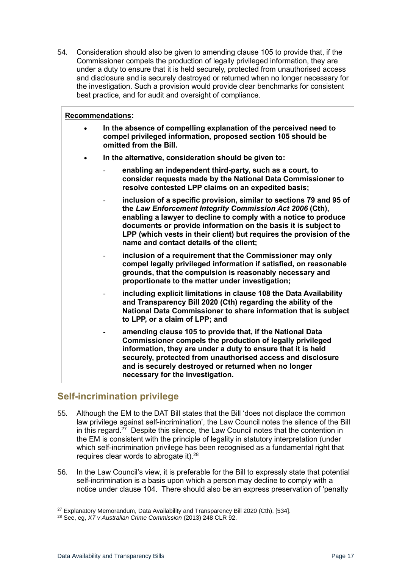54. Consideration should also be given to amending clause 105 to provide that, if the Commissioner compels the production of legally privileged information, they are under a duty to ensure that it is held securely, protected from unauthorised access and disclosure and is securely destroyed or returned when no longer necessary for the investigation. Such a provision would provide clear benchmarks for consistent best practice, and for audit and oversight of compliance.

#### **Recommendations:**

• **In the absence of compelling explanation of the perceived need to compel privileged information, proposed section 105 should be omitted from the Bill.**  • **In the alternative, consideration should be given to:** - **enabling an independent third-party, such as a court, to consider requests made by the National Data Commissioner to resolve contested LPP claims on an expedited basis;** inclusion of a specific provision, similar to sections 79 and 95 of **the** *Law Enforcement Integrity Commission Act 2006* **(Cth), enabling a lawyer to decline to comply with a notice to produce documents or provide information on the basis it is subject to LPP (which vests in their client) but requires the provision of the name and contact details of the client;**  inclusion of a requirement that the Commissioner may only **compel legally privileged information if satisfied, on reasonable grounds, that the compulsion is reasonably necessary and proportionate to the matter under investigation;** - **including explicit limitations in clause 108 the Data Availability and Transparency Bill 2020 (Cth) regarding the ability of the National Data Commissioner to share information that is subject to LPP, or a claim of LPP; and** - **amending clause 105 to provide that, if the National Data Commissioner compels the production of legally privileged information, they are under a duty to ensure that it is held securely, protected from unauthorised access and disclosure** 

## <span id="page-16-0"></span>**Self-incrimination privilege**

55. Although the EM to the DAT Bill states that the Bill 'does not displace the common law privilege against self-incrimination', the Law Council notes the silence of the Bill in this regard.<sup>27</sup> Despite this silence, the Law Council notes that the contention in the EM is consistent with the principle of legality in statutory interpretation (under which self-incrimination privilege has been recognised as a fundamental right that requires clear words to abrogate it). $28$ 

**and is securely destroyed or returned when no longer** 

56. In the Law Council's view, it is preferable for the Bill to expressly state that potential self-incrimination is a basis upon which a person may decline to comply with a notice under clause 104. There should also be an express preservation of 'penalty

**necessary for the investigation.**

 $27$  Explanatory Memorandum, Data Availability and Transparency Bill 2020 (Cth), [534].

<sup>28</sup> See, eg, *X7 v Australian Crime Commission* (2013) 248 CLR 92.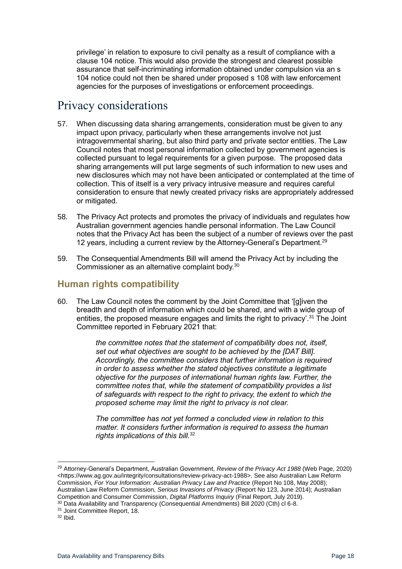privilege' in relation to exposure to civil penalty as a result of compliance with a clause 104 notice. This would also provide the strongest and clearest possible assurance that self-incriminating information obtained under compulsion via an s 104 notice could not then be shared under proposed s 108 with law enforcement agencies for the purposes of investigations or enforcement proceedings.

# <span id="page-17-0"></span>Privacy considerations

- 57. When discussing data sharing arrangements, consideration must be given to any impact upon privacy, particularly when these arrangements involve not just intragovernmental sharing, but also third party and private sector entities. The Law Council notes that most personal information collected by government agencies is collected pursuant to legal requirements for a given purpose. The proposed data sharing arrangements will put large segments of such information to new uses and new disclosures which may not have been anticipated or contemplated at the time of collection. This of itself is a very privacy intrusive measure and requires careful consideration to ensure that newly created privacy risks are appropriately addressed or mitigated.
- 58. The Privacy Act protects and promotes the privacy of individuals and regulates how Australian government agencies handle personal information. The Law Council notes that the Privacy Act has been the subject of a number of reviews over the past 12 years, including a current review by the Attorney-General's Department.<sup>29</sup>
- 59. The Consequential Amendments Bill will amend the Privacy Act by including the Commissioner as an alternative complaint body.<sup>30</sup>

### <span id="page-17-1"></span>**Human rights compatibility**

60. The Law Council notes the comment by the Joint Committee that '[g]iven the breadth and depth of information which could be shared, and with a wide group of entities, the proposed measure engages and limits the right to privacy'.<sup>31</sup> The Joint Committee reported in February 2021 that:

> *the committee notes that the statement of compatibility does not, itself, set out what objectives are sought to be achieved by the [DAT Bill]. Accordingly, the committee considers that further information is required in order to assess whether the stated objectives constitute a legitimate objective for the purposes of international human rights law. Further, the committee notes that, while the statement of compatibility provides a list of safeguards with respect to the right to privacy, the extent to which the proposed scheme may limit the right to privacy is not clear.*

*The committee has not yet formed a concluded view in relation to this matter. It considers further information is required to assess the human rights implications of this bill.* 32

<sup>31</sup> Joint Committee Report, 18.

<sup>29</sup> Attorney-General's Department, Australian Government, *Review of the Privacy Act 1988* (Web Page, 2020) <https://www.ag.gov.au/integrity/consultations/review-privacy-act-1988>. See also Australian Law Reform Commission, *For Your Information: Australian Privacy Law and Practice* (Report No 108, May 2008); Australian Law Reform Commission, *Serious Invasions of Privacy* (Report No 123, June 2014); Australian Competition and Consumer Commission, *Digital Platforms Inquiry* (Final Report, July 2019).

<sup>&</sup>lt;sup>30</sup> Data Availability and Transparency (Consequential Amendments) Bill 2020 (Cth) cl 6-8.

 $32$  Ibid.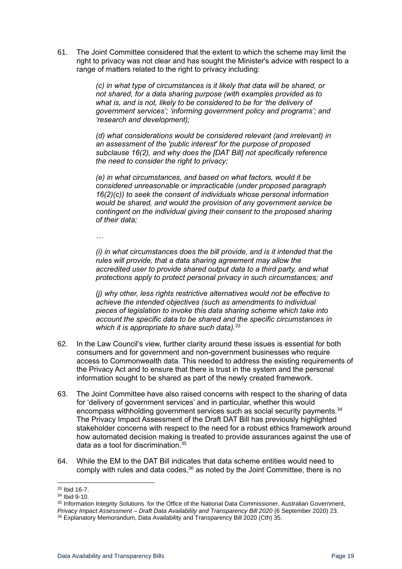61. The Joint Committee considered that the extent to which the scheme may limit the right to privacy was not clear and has sought the Minister's advice with respect to a range of matters related to the right to privacy including:

> *(c) in what type of circumstances is it likely that data will be shared, or not shared, for a data sharing purpose (with examples provided as to what is, and is not, likely to be considered to be for 'the delivery of government services'; 'informing government policy and programs'; and 'research and development);*

> *(d) what considerations would be considered relevant (and irrelevant) in an assessment of the 'public interest' for the purpose of proposed subclause 16(2), and why does the [DAT Bill] not specifically reference the need to consider the right to privacy;*

> *(e) in what circumstances, and based on what factors, would it be considered unreasonable or impracticable (under proposed paragraph 16(2)(c)) to seek the consent of individuals whose personal information would be shared, and would the provision of any government service be contingent on the individual giving their consent to the proposed sharing of their data;*

*…*

*(i) in what circumstances does the bill provide, and is it intended that the rules will provide, that a data sharing agreement may allow the accredited user to provide shared output data to a third party, and what protections apply to protect personal privacy in such circumstances; and*

*(j) why other, less rights restrictive alternatives would not be effective to achieve the intended objectives (such as amendments to individual pieces of legislation to invoke this data sharing scheme which take into account the specific data to be shared and the specific circumstances in which it is appropriate to share such data).*<sup>33</sup>

- 62. In the Law Council's view, further clarity around these issues is essential for both consumers and for government and non-government businesses who require access to Commonwealth data. This needed to address the existing requirements of the Privacy Act and to ensure that there is trust in the system and the personal information sought to be shared as part of the newly created framework.
- 63. The Joint Committee have also raised concerns with respect to the sharing of data for 'delivery of government services' and in particular, whether this would encompass withholding government services such as social security payments. $34$ The Privacy Impact Assessment of the Draft DAT Bill has previously highlighted stakeholder concerns with respect to the need for a robust ethics framework around how automated decision making is treated to provide assurances against the use of data as a tool for discrimination.<sup>35</sup>
- 64. While the EM to the DAT Bill indicates that data scheme entities would need to comply with rules and data codes. $36$  as noted by the Joint Committee, there is no

<sup>33</sup> Ibid 16-7.

<sup>34</sup> Ibid 9-10.

<sup>35</sup> Information Integrity Solutions for the Office of the National Data Commissioner, Australian Government, *Privacy Impact Assessment – Draft Data Availability and Transparency Bill 2020* (6 September 2020) 23.

<sup>36</sup> Explanatory Memorandum, Data Availability and Transparency Bill 2020 (Cth) 35.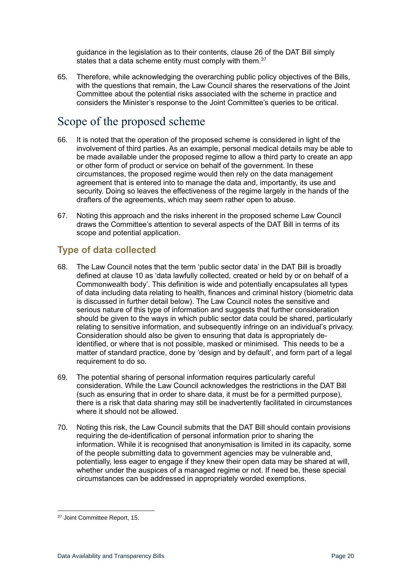guidance in the legislation as to their contents, clause 26 of the DAT Bill simply states that a data scheme entity must comply with them.<sup>37</sup>

65. Therefore, while acknowledging the overarching public policy objectives of the Bills, with the questions that remain, the Law Council shares the reservations of the Joint Committee about the potential risks associated with the scheme in practice and considers the Minister's response to the Joint Committee's queries to be critical.

# <span id="page-19-0"></span>Scope of the proposed scheme

- 66. It is noted that the operation of the proposed scheme is considered in light of the involvement of third parties. As an example, personal medical details may be able to be made available under the proposed regime to allow a third party to create an app or other form of product or service on behalf of the government. In these circumstances, the proposed regime would then rely on the data management agreement that is entered into to manage the data and, importantly, its use and security. Doing so leaves the effectiveness of the regime largely in the hands of the drafters of the agreements, which may seem rather open to abuse.
- 67. Noting this approach and the risks inherent in the proposed scheme Law Council draws the Committee's attention to several aspects of the DAT Bill in terms of its scope and potential application.

## <span id="page-19-1"></span>**Type of data collected**

- 68. The Law Council notes that the term 'public sector data' in the DAT Bill is broadly defined at clause 10 as 'data lawfully collected, created or held by or on behalf of a Commonwealth body'. This definition is wide and potentially encapsulates all types of data including data relating to health, finances and criminal history (biometric data is discussed in further detail below). The Law Council notes the sensitive and serious nature of this type of information and suggests that further consideration should be given to the ways in which public sector data could be shared, particularly relating to sensitive information, and subsequently infringe on an individual's privacy. Consideration should also be given to ensuring that data is appropriately deidentified, or where that is not possible, masked or minimised. This needs to be a matter of standard practice, done by 'design and by default', and form part of a legal requirement to do so.
- 69. The potential sharing of personal information requires particularly careful consideration. While the Law Council acknowledges the restrictions in the DAT Bill (such as ensuring that in order to share data, it must be for a permitted purpose), there is a risk that data sharing may still be inadvertently facilitated in circumstances where it should not be allowed.
- 70. Noting this risk, the Law Council submits that the DAT Bill should contain provisions requiring the de-identification of personal information prior to sharing the information. While it is recognised that anonymisation is limited in its capacity, some of the people submitting data to government agencies may be vulnerable and, potentially, less eager to engage if they knew their open data may be shared at will, whether under the auspices of a managed regime or not. If need be, these special circumstances can be addressed in appropriately worded exemptions.

<sup>&</sup>lt;sup>37</sup> Joint Committee Report, 15.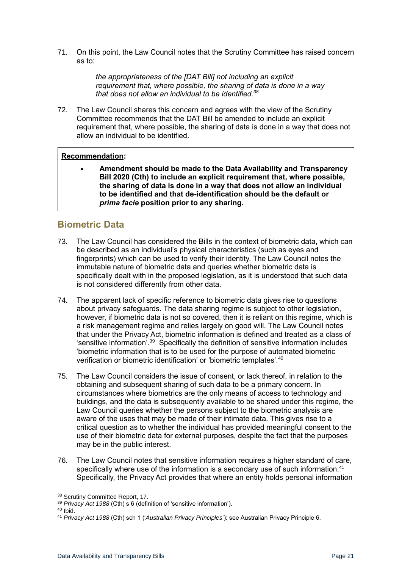71. On this point, the Law Council notes that the Scrutiny Committee has raised concern as to:

> *the appropriateness of the [DAT Bill] not including an explicit requirement that, where possible, the sharing of data is done in a way that does not allow an individual to be identified.<sup>38</sup>*

72. The Law Council shares this concern and agrees with the view of the Scrutiny Committee recommends that the DAT Bill be amended to include an explicit requirement that, where possible, the sharing of data is done in a way that does not allow an individual to be identified.

#### **Recommendation:**

• **Amendment should be made to the Data Availability and Transparency Bill 2020 (Cth) to include an explicit requirement that, where possible, the sharing of data is done in a way that does not allow an individual to be identified and that de-identification should be the default or**  *prima facie* **position prior to any sharing.**

## <span id="page-20-0"></span>**Biometric Data**

- 73. The Law Council has considered the Bills in the context of biometric data, which can be described as an individual's physical characteristics (such as eyes and fingerprints) which can be used to verify their identity. The Law Council notes the immutable nature of biometric data and queries whether biometric data is specifically dealt with in the proposed legislation, as it is understood that such data is not considered differently from other data.
- 74. The apparent lack of specific reference to biometric data gives rise to questions about privacy safeguards. The data sharing regime is subject to other legislation, however, if biometric data is not so covered, then it is reliant on this regime, which is a risk management regime and relies largely on good will. The Law Council notes that under the Privacy Act, biometric information is defined and treated as a class of 'sensitive information'.<sup>39</sup> Specifically the definition of sensitive information includes 'biometric information that is to be used for the purpose of automated biometric verification or biometric identification' or 'biometric templates'.<sup>40</sup>
- 75. The Law Council considers the issue of consent, or lack thereof, in relation to the obtaining and subsequent sharing of such data to be a primary concern. In circumstances where biometrics are the only means of access to technology and buildings, and the data is subsequently available to be shared under this regime, the Law Council queries whether the persons subject to the biometric analysis are aware of the uses that may be made of their intimate data. This gives rise to a critical question as to whether the individual has provided meaningful consent to the use of their biometric data for external purposes, despite the fact that the purposes may be in the public interest.
- 76. The Law Council notes that sensitive information requires a higher standard of care, specifically where use of the information is a secondary use of such information.<sup>41</sup> Specifically, the Privacy Act provides that where an entity holds personal information

<sup>38</sup> Scrutiny Committee Report, 17.

<sup>39</sup> *Privacy Act 1988* (Cth) s 6 (definition of 'sensitive information').

 $40$  Ibid.

<sup>41</sup> *Privacy Act 1988* (Cth) sch 1 ('*Australian Privacy Principles*'): see Australian Privacy Principle 6.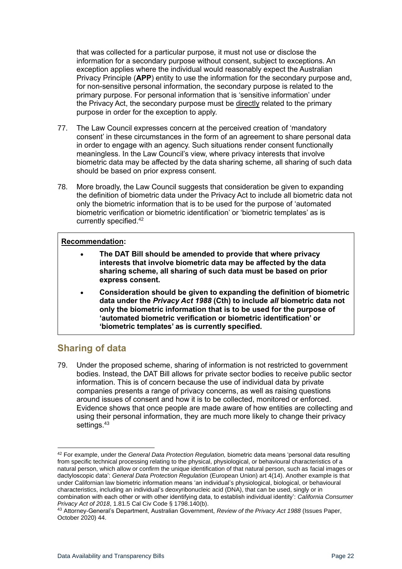that was collected for a particular purpose, it must not use or disclose the information for a secondary purpose without consent, subject to exceptions. An exception applies where the individual would reasonably expect the Australian Privacy Principle (**APP**) entity to use the information for the secondary purpose and, for non-sensitive personal information, the secondary purpose is related to the primary purpose. For personal information that is 'sensitive information' under the [Privacy Act,](http://www.austlii.edu.au/cgi-bin/viewdoc/au/legis/cth/consol_act/pa1988108/) the secondary purpose must be directly related to the primary purpose in order for the exception to apply.

- 77. The Law Council expresses concern at the perceived creation of 'mandatory consent' in these circumstances in the form of an agreement to share personal data in order to engage with an agency. Such situations render consent functionally meaningless. In the Law Council's view, where privacy interests that involve biometric data may be affected by the data sharing scheme, all sharing of such data should be based on prior express consent.
- 78. More broadly, the Law Council suggests that consideration be given to expanding the definition of biometric data under the Privacy Act to include all biometric data not only the biometric information that is to be used for the purpose of 'automated biometric verification or biometric identification' or 'biometric templates' as is currently specified.<sup>42</sup>

#### **Recommendation:**

- **The DAT Bill should be amended to provide that where privacy interests that involve biometric data may be affected by the data sharing scheme, all sharing of such data must be based on prior express consent.**
- **Consideration should be given to expanding the definition of biometric data under the** *Privacy Act 1988* **(Cth) to include** *all* **biometric data not only the biometric information that is to be used for the purpose of 'automated biometric verification or biometric identification' or 'biometric templates' as is currently specified.**

## <span id="page-21-0"></span>**Sharing of data**

79. Under the proposed scheme, sharing of information is not restricted to government bodies. Instead, the DAT Bill allows for private sector bodies to receive public sector information. This is of concern because the use of individual data by private companies presents a range of privacy concerns, as well as raising questions around issues of consent and how it is to be collected, monitored or enforced. Evidence shows that once people are made aware of how entities are collecting and using their personal information, they are much more likely to change their privacy settings.<sup>43</sup>

<sup>42</sup> For example, under the *General Data Protection Regulation,* biometric data means 'personal data resulting from specific technical processing relating to the physical, physiological, or behavioural characteristics of a natural person, which allow or confirm the unique identification of that natural person, such as facial images or dactyloscopic data': *General Data Protection Regulation* (European Union) art 4(14). Another example is that under Californian law biometric information means 'an individual's physiological, biological, or behavioural characteristics, including an individual's deoxyribonucleic acid (DNA), that can be used, singly or in combination with each other or with other identifying data, to establish individual identity': *California Consumer Privacy Act of 2018*, 1.81.5 Cal Civ Code § 1798.140(b).

<sup>43</sup> Attorney-General's Department, Australian Government, *Review of the Privacy Act 1988* (Issues Paper, October 2020) 44.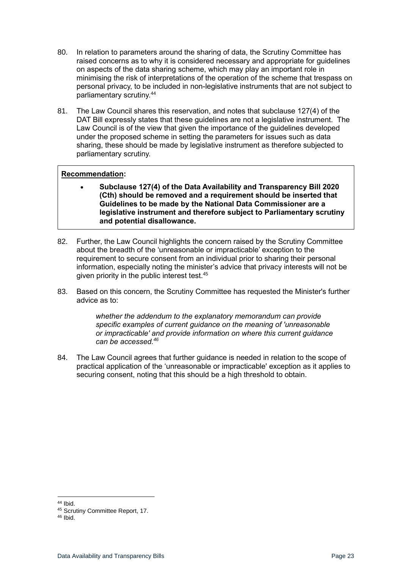- 80. In relation to parameters around the sharing of data, the Scrutiny Committee has raised concerns as to why it is considered necessary and appropriate for guidelines on aspects of the data sharing scheme, which may play an important role in minimising the risk of interpretations of the operation of the scheme that trespass on personal privacy, to be included in non-legislative instruments that are not subject to parliamentary scrutiny.<sup>44</sup>
- 81. The Law Council shares this reservation, and notes that subclause 127(4) of the DAT Bill expressly states that these guidelines are not a legislative instrument. The Law Council is of the view that given the importance of the guidelines developed under the proposed scheme in setting the parameters for issues such as data sharing, these should be made by legislative instrument as therefore subjected to parliamentary scrutiny.

#### **Recommendation:**

- **Subclause 127(4) of the Data Availability and Transparency Bill 2020 (Cth) should be removed and a requirement should be inserted that Guidelines to be made by the National Data Commissioner are a legislative instrument and therefore subject to Parliamentary scrutiny and potential disallowance.**
- 82. Further, the Law Council highlights the concern raised by the Scrutiny Committee about the breadth of the 'unreasonable or impracticable' exception to the requirement to secure consent from an individual prior to sharing their personal information, especially noting the minister's advice that privacy interests will not be given priority in the public interest test.<sup>45</sup>
- 83. Based on this concern, the Scrutiny Committee has requested the Minister's further advice as to:

*whether the addendum to the explanatory memorandum can provide specific examples of current guidance on the meaning of 'unreasonable or impracticable' and provide information on where this current guidance can be accessed.<sup>46</sup>*

84. The Law Council agrees that further guidance is needed in relation to the scope of practical application of the 'unreasonable or impracticable' exception as it applies to securing consent, noting that this should be a high threshold to obtain.

<sup>44</sup> Ibid.

<sup>45</sup> Scrutiny Committee Report, 17.

 $46$  Ibid.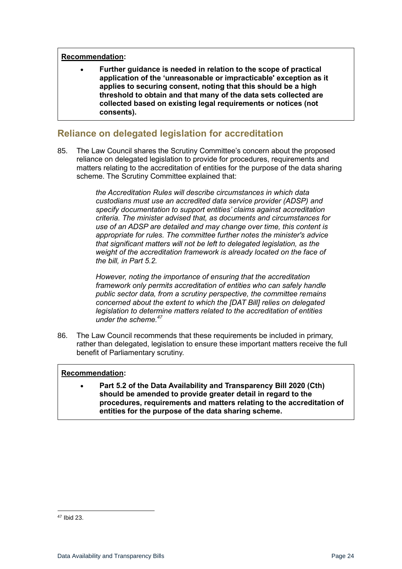#### **Recommendation:**

• **Further guidance is needed in relation to the scope of practical application of the 'unreasonable or impracticable' exception as it applies to securing consent, noting that this should be a high threshold to obtain and that many of the data sets collected are collected based on existing legal requirements or notices (not consents).**

## <span id="page-23-0"></span>**Reliance on delegated legislation for accreditation**

85. The Law Council shares the Scrutiny Committee's concern about the proposed reliance on delegated legislation to provide for procedures, requirements and matters relating to the accreditation of entities for the purpose of the data sharing scheme. The Scrutiny Committee explained that:

> *the Accreditation Rules will describe circumstances in which data custodians must use an accredited data service provider (ADSP) and specify documentation to support entities' claims against accreditation criteria. The minister advised that, as documents and circumstances for use of an ADSP are detailed and may change over time, this content is appropriate for rules. The committee further notes the minister's advice that significant matters will not be left to delegated legislation, as the weight of the accreditation framework is already located on the face of the bill, in Part 5.2.*

*However, noting the importance of ensuring that the accreditation framework only permits accreditation of entities who can safely handle public sector data, from a scrutiny perspective, the committee remains concerned about the extent to which the [DAT Bill] relies on delegated legislation to determine matters related to the accreditation of entities under the scheme.<sup>47</sup>*

86. The Law Council recommends that these requirements be included in primary, rather than delegated, legislation to ensure these important matters receive the full benefit of Parliamentary scrutiny.

#### **Recommendation:**

• **Part 5.2 of the Data Availability and Transparency Bill 2020 (Cth) should be amended to provide greater detail in regard to the procedures, requirements and matters relating to the accreditation of entities for the purpose of the data sharing scheme.**

<sup>47</sup> Ibid 23.